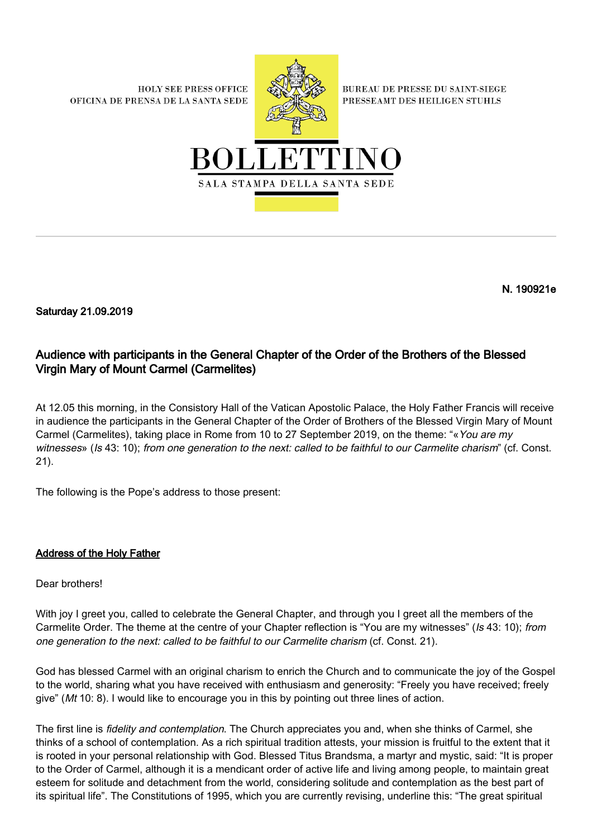**HOLY SEE PRESS OFFICE** OFICINA DE PRENSA DE LA SANTA SEDE



**BUREAU DE PRESSE DU SAINT-SIEGE** PRESSEAMT DES HEILIGEN STUHLS



N. 190921e

Saturday 21.09.2019

## Audience with participants in the General Chapter of the Order of the Brothers of the Blessed Virgin Mary of Mount Carmel (Carmelites)

At 12.05 this morning, in the Consistory Hall of the Vatican Apostolic Palace, the Holy Father Francis will receive in audience the participants in the General Chapter of the Order of Brothers of the Blessed Virgin Mary of Mount Carmel (Carmelites), taking place in Rome from 10 to 27 September 2019, on the theme: "«You are my witnesses» (Is 43: 10); from one generation to the next: called to be faithful to our Carmelite charism" (cf. Const. 21).

The following is the Pope's address to those present:

## Address of the Holy Father

Dear brothers!

With joy I greet you, called to celebrate the General Chapter, and through you I greet all the members of the Carmelite Order. The theme at the centre of your Chapter reflection is "You are my witnesses" (Is 43: 10); from one generation to the next: called to be faithful to our Carmelite charism (cf. Const. 21).

God has blessed Carmel with an original charism to enrich the Church and to communicate the joy of the Gospel to the world, sharing what you have received with enthusiasm and generosity: "Freely you have received; freely give" (Mt 10: 8). I would like to encourage you in this by pointing out three lines of action.

The first line is fidelity and contemplation. The Church appreciates you and, when she thinks of Carmel, she thinks of a school of contemplation. As a rich spiritual tradition attests, your mission is fruitful to the extent that it is rooted in your personal relationship with God. Blessed Titus Brandsma, a martyr and mystic, said: "It is proper to the Order of Carmel, although it is a mendicant order of active life and living among people, to maintain great esteem for solitude and detachment from the world, considering solitude and contemplation as the best part of its spiritual life". The Constitutions of 1995, which you are currently revising, underline this: "The great spiritual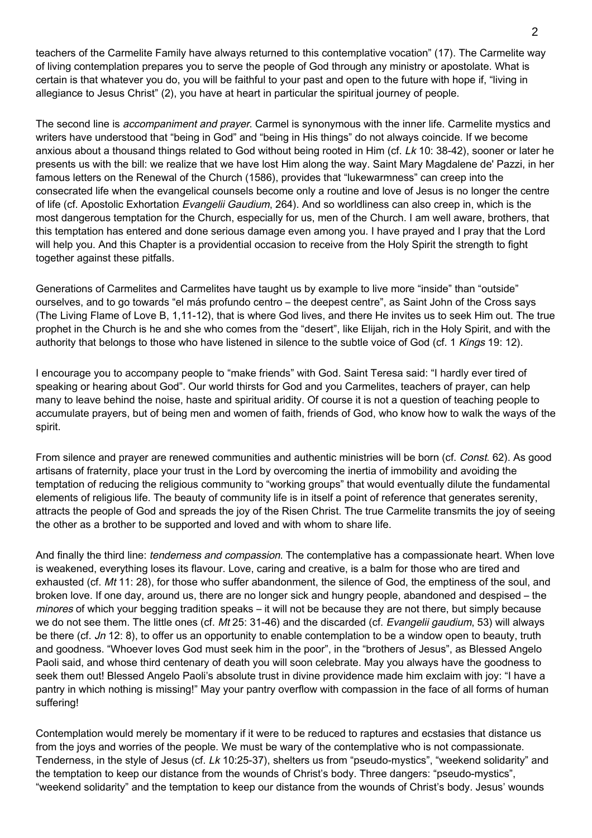teachers of the Carmelite Family have always returned to this contemplative vocation" (17). The Carmelite way of living contemplation prepares you to serve the people of God through any ministry or apostolate. What is certain is that whatever you do, you will be faithful to your past and open to the future with hope if, "living in allegiance to Jesus Christ" (2), you have at heart in particular the spiritual journey of people.

The second line is accompaniment and prayer. Carmel is synonymous with the inner life. Carmelite mystics and writers have understood that "being in God" and "being in His things" do not always coincide. If we become anxious about a thousand things related to God without being rooted in Him (cf. Lk 10: 38-42), sooner or later he presents us with the bill: we realize that we have lost Him along the way. Saint Mary Magdalene de' Pazzi, in her famous letters on the Renewal of the Church (1586), provides that "lukewarmness" can creep into the consecrated life when the evangelical counsels become only a routine and love of Jesus is no longer the centre of life (cf. Apostolic Exhortation Evangelii Gaudium, 264). And so worldliness can also creep in, which is the most dangerous temptation for the Church, especially for us, men of the Church. I am well aware, brothers, that this temptation has entered and done serious damage even among you. I have prayed and I pray that the Lord will help you. And this Chapter is a providential occasion to receive from the Holy Spirit the strength to fight together against these pitfalls.

Generations of Carmelites and Carmelites have taught us by example to live more "inside" than "outside" ourselves, and to go towards "el más profundo centro – the deepest centre", as Saint John of the Cross says (The Living Flame of Love B, 1,11-12), that is where God lives, and there He invites us to seek Him out. The true prophet in the Church is he and she who comes from the "desert", like Elijah, rich in the Holy Spirit, and with the authority that belongs to those who have listened in silence to the subtle voice of God (cf. 1 Kings 19: 12).

I encourage you to accompany people to "make friends" with God. Saint Teresa said: "I hardly ever tired of speaking or hearing about God". Our world thirsts for God and you Carmelites, teachers of prayer, can help many to leave behind the noise, haste and spiritual aridity. Of course it is not a question of teaching people to accumulate prayers, but of being men and women of faith, friends of God, who know how to walk the ways of the spirit.

From silence and prayer are renewed communities and authentic ministries will be born (cf. Const. 62). As good artisans of fraternity, place your trust in the Lord by overcoming the inertia of immobility and avoiding the temptation of reducing the religious community to "working groups" that would eventually dilute the fundamental elements of religious life. The beauty of community life is in itself a point of reference that generates serenity, attracts the people of God and spreads the joy of the Risen Christ. The true Carmelite transmits the joy of seeing the other as a brother to be supported and loved and with whom to share life.

And finally the third line: tenderness and compassion. The contemplative has a compassionate heart. When love is weakened, everything loses its flavour. Love, caring and creative, is a balm for those who are tired and exhausted (cf. Mt 11: 28), for those who suffer abandonment, the silence of God, the emptiness of the soul, and broken love. If one day, around us, there are no longer sick and hungry people, abandoned and despised – the minores of which your begging tradition speaks – it will not be because they are not there, but simply because we do not see them. The little ones (cf. Mt 25: 31-46) and the discarded (cf. Evangelii gaudium, 53) will always be there (cf. Jn 12: 8), to offer us an opportunity to enable contemplation to be a window open to beauty, truth and goodness. "Whoever loves God must seek him in the poor", in the "brothers of Jesus", as Blessed Angelo Paoli said, and whose third centenary of death you will soon celebrate. May you always have the goodness to seek them out! Blessed Angelo Paoli's absolute trust in divine providence made him exclaim with joy: "I have a pantry in which nothing is missing!" May your pantry overflow with compassion in the face of all forms of human suffering!

Contemplation would merely be momentary if it were to be reduced to raptures and ecstasies that distance us from the joys and worries of the people. We must be wary of the contemplative who is not compassionate. Tenderness, in the style of Jesus (cf. Lk 10:25-37), shelters us from "pseudo-mystics", "weekend solidarity" and the temptation to keep our distance from the wounds of Christ's body. Three dangers: "pseudo-mystics", "weekend solidarity" and the temptation to keep our distance from the wounds of Christ's body. Jesus' wounds